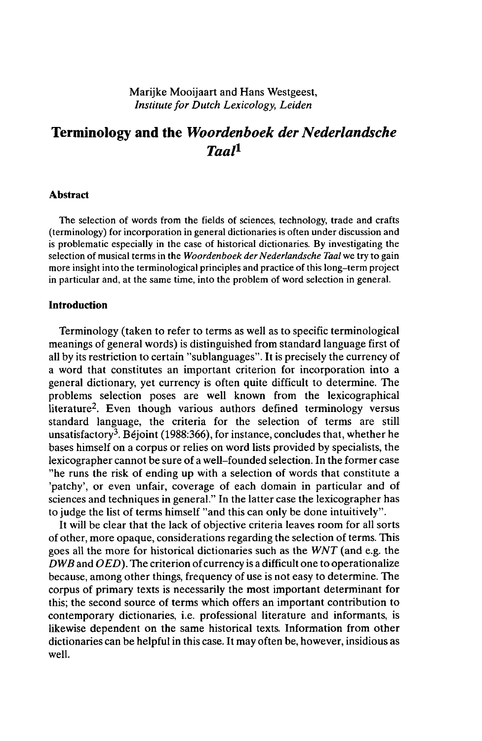Marijke Mooijaart and Hans Westgeest, *Institute for Dutch Lexicology, Leiden*

# **Terminology and the** *Woordenboek der Nederlandsche Taal<sup>1</sup>*

# **Abstract**

The selection of words from the fields of sciences, technology, trade and crafts (terminology) for incorporation in general dictionaries is often under discussion and is problematic especially in the case of historical dictionaries. By investigating the selection of musical terms in the *Woordenboek der Nederlandsche Taal* we try to gain more insight into the terminological principles and practice ofthis long-term project in particular and, at the same time, into the problem of word selection in general.

# **Introduction**

Terminology (taken to refer to terms as well as to specific terminological meanings of general words) is distinguished from standard language first of all by its restriction to certain "sublanguages". It is precisely the currency of a word that constitutes an important criterion for incorporation into a general dictionary, yet currency is often quite difficult to determine. The problems selection poses are well known from the lexicographical iterature<sup>2</sup>. Even though various authors defined terminology versus standard language, the criteria for the selection of terms are still unsatisfactory<sup>3</sup>. Béjoint (1988:366), for instance, concludes that, whether he bases himself on a corpus or relies on word lists provided by specialists, the lexicographer cannot be sure of a well-founded selection. In the former case "he runs the risk of ending up with a selection of words that constitute a 'patchy', or even unfair, coverage of each domain in particular and of sciences and techniques in general." In the latter case the lexicographer has to judge the list of terms himself "and this can only be done intuitively".

It will be clear that the lack of objective criteria leaves room for all sorts of other, more opaque, considerations regarding the selection of terms. This goes all the more for historical dictionaries such as the *WNT* (and e.g. the *DWB* and *OED).* The criterion of currency is a difficult one to operationalize because, among other things, frequency of use is not easy to determine. The corpus of primary texts is necessarily the most important determinant for this; the second source of terms which offers an important contribution to contemporary dictionaries, i.e. professional literature and informants, is likewise dependent on the same historical texts. Information from other dictionaries can be helpful in this case. It may often be, however, insidious as well.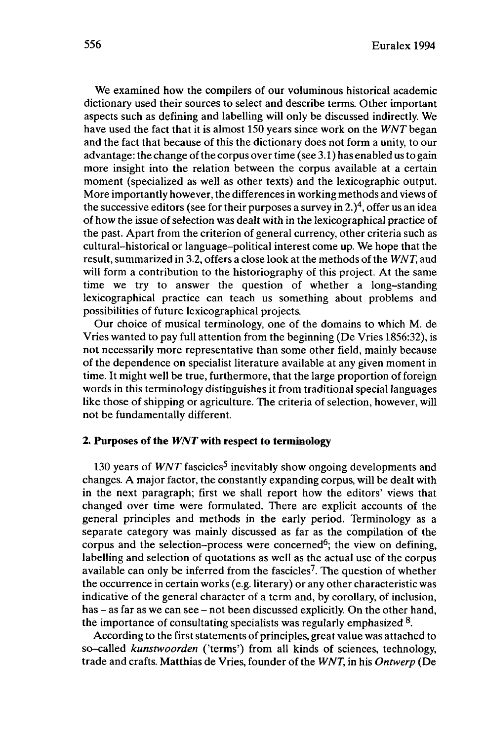We examined how the compilers of our voluminous historical academic dictionary used their sources to select and describe terms. Other important aspects such as defining and labelling will only be discussed indirectly. We have used the fact that it is almost 150 years since work on the *WNT*began and the fact that because of this the dictionary does not form a unity, to our advantage: the change of the corpus over time (see 3.1) has enabled us to gain more insight into the relation between the corpus available at a certain moment (specialized as well as other texts) and the lexicographic output. More importantly however, the differences in working methods and views of the successive editors (see for their purposes a survey in 2. $)$ <sup>4</sup>, offer us an idea of how the issue ofselection was dealt with in the lexicographical practice of the past. Apart from the criterion of general currency, other criteria such as cultural-historical or language-political interest come up. We hope that the result, summarized in 3.2, offers a close look at the methods of the *WNT*, and will form a contribution to the historiography of this project. At the same time we try to answer the question of whether a long-standing lexicographical practice can teach us something about problems and possibilities of future lexicographical projects.

Our choice of musical terminology, one of the domains to which M. de Vries wanted to pay full attention from the beginning (De Vries 1856:32), is not necessarily more representative than some other field, mainly because of the dependence on specialist literature available at any given moment in time. It might well be true, furthermore, that the large proportion of foreign words in this terminology distinguishes it from traditional special languages like those of shipping or agriculture. The criteria of selection, however, will not be fundamentally different.

## **2. Purposes of the** *WNT* **with respect to terminology**

130 years of *WNT* fascicles<sup>5</sup> inevitably show ongoing developments and changes. A major factor, the constantly expanding corpus, will be dealt with in the next paragraph; first we shall report how the editors' views that changed over time were formulated. There are explicit accounts of the general principles and methods in the early period. Terminology as a separate category was mainly discussed as far as the compilation of the corpus and the selection-process were concerned<sup>6</sup>; the view on defining, labelling and selection of quotations as well as the actual use of the corpus available can only be inferred from the fascicles<sup>7</sup>. The question of whether the occurrence in certain works (e.g. literary) or any other characteristic was indicative of the general character of a term and, by corollary, of inclusion, has - as far as we can see - not been discussed explicitly. On the other hand, the importance of consultating specialists was regularly emphasized  $8$ .

According to the first statements of principles, great value was attached to so-called *kunstwoorden* ('terms') from all kinds of sciences, technology, trade and crafts. Matthias de Vries, founder of the *WNT,* in his *Ontwerp* (De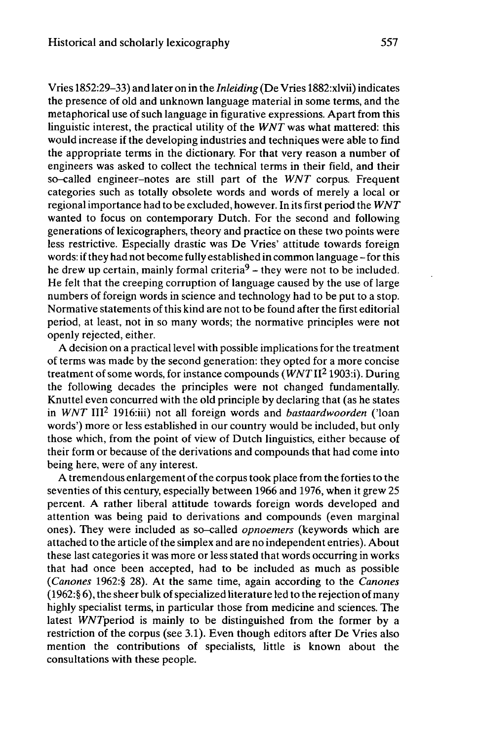Vries 1852:29-33) and later on in the *Inleiding* (De Vries 1882:xlvii) indicates the presence of old and unknown language material in some terms, and the metaphorical use of such language in figurative expressions. Apart from this linguistic interest, the practical utility of the *WNT* was what mattered: this would increase if the developing industries and techniques were able to find the appropriate terms in the dictionary. For that very reason a number of engineers was asked to collect the technical terms in their field, and their so-called engineer-notes are still part of the *WNT* corpus. Frequent categories such as totally obsolete words and words of merely a local or regional importance had to be excluded, however. In itsfirst period the *WNT* wanted to focus on contemporary Dutch. For the second and following generations of lexicographers, theory and practice on these two points were less restrictive. Especially drastic was De Vries' attitude towards foreign words: if they had not become fully established in common language - for this he drew up certain, mainly formal criteria<sup>9</sup> – they were not to be included. He felt that the creeping corruption of language caused by the use of large numbers of foreign words in science and technology had to be put to a stop. Normative statements ofthis kind are not to be found after the first editorial period, at least, not in so many words; the normative principles were not openly rejected, either.

A decision on a practical level with possible implications for the treatment of terms was made by the second generation: they opted for a more concise treatment of some words, for instance compounds *(WNT II<sup>2</sup> 1903:i). During* the following decades the principles were not changed fundamentally. Knuttel even concurred with the old principle by declaring that (as he states in *WNT* III<sup>2</sup> 1916:iii) not all foreign words and *bastaardwoorden* ('loan words') more or less established in our country would be included, but only those which, from the point of view of Dutch linguistics, either because of their form or because of the derivations and compounds that had come into being here, were of any interest.

A tremendous enlargement of the corpus took place from the forties to the seventies of this century, especially between 1966 and 1976, when it grew 25 percent. A rather liberal attitude towards foreign words developed and attention was being paid to derivations and compounds (even marginal ones). They were included as so-called *opnoemers* (keywords which are attached to the article ofthe simplex and are no independent entries). About these last categories it was more or less stated that words occurring in works that had once been accepted, had to be included as much as possible *{Canones* 1962:§ 28). At the same time, again according to the *Canones*  $(1962:§ 6)$ , the sheer bulk of specialized literature led to the rejection of many highly specialist terms, in particular those from medicine and sciences. The latest WW7period is mainly to be distinguished from the former by a restriction of the corpus (see 3.1). Even though editors after De Vries also mention the contributions of specialists, little is known about the consultations with these people.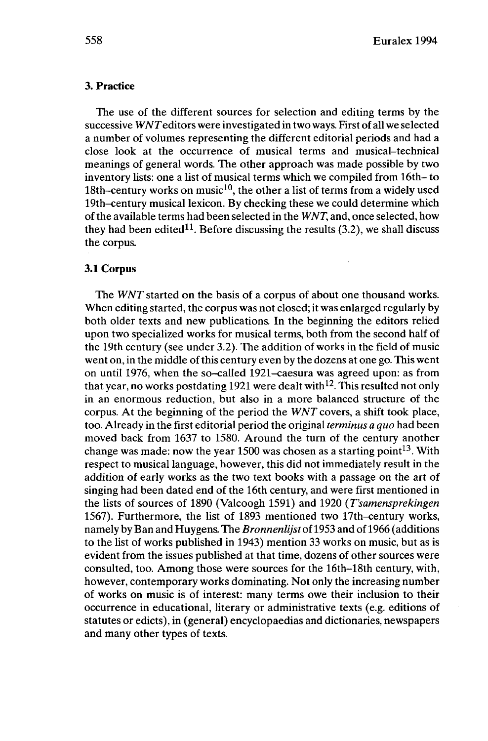# **3. Practice**

The use of the different sources for selection and editing terms by the successive WWTeditors were investigated in two ways. First of all we selected a number of volumes representing the different editorial periods and had a close look at the occurrence of musical terms and musical-technical meanings of general words. The other approach was made possible by two inventory lists: one a list of musical terms which we compiled from 16th- to 18th-century works on music<sup>10</sup>, the other a list of terms from a widely used 19th-century musical lexicon. By checking these we could determine which ofthe available terms had been selected in the *WNT,* and, once selected, how they had been edited<sup>11</sup>. Before discussing the results  $(3.2)$ , we shall discuss the corpus.

### **3.1 Corpus**

The *WNT* started on the basis of a corpus of about one thousand works. When editing started, the corpus was not closed; it was enlarged regularly by both older texts and new publications. In the beginning the editors relied upon two specialized works for musical terms, both from the second half of the 19th century (see under 3.2). The addition of works in the field of music went on, in the middle ofthis century even by the dozens at one go. This went on until 1976, when the so-called 1921-caesura was agreed upon: as from that year, no works postdating 1921 were dealt with  $12$ . This resulted not only in an enormous reduction, but also in a more balanced structure of the corpus. At the beginning of the period the *WNT* covers, a shift took place, too. Already in the first editorial period the original *terminus a quo* had been moved back from 1637 to 1580. Around the turn of the century another change was made: now the year 1500 was chosen as a starting  $point^{13}$ . With respect to musical language, however, this did not immediately result in the addition of early works as the two text books with a passage on the art of singing had been dated end of the 16th century, and were first mentioned in the lists of sources of 1890 (Valcoogh 1591) and 1920 *(T'samensprekingen* 1567). Furthermore, the list of 1893 mentioned two 17th-century works, namely by Ban and Huygens. The *Bronnenlijst* of 1953 and of 1966 (additions to the list of works published in 1943) mention 33 works on music, but as is evident from the issues published at that time, dozens of other sources were consulted, too. Among those were sources for the 16th-18th century, with, however, contemporary works dominating. Not only the increasing number of works on music is of interest: many terms owe their inclusion to their occurrence in educational, literary or administrative texts (e.g. editions of statutes or edicts), in (general) encyclopaedias and dictionaries, newspapers and many other types of texts.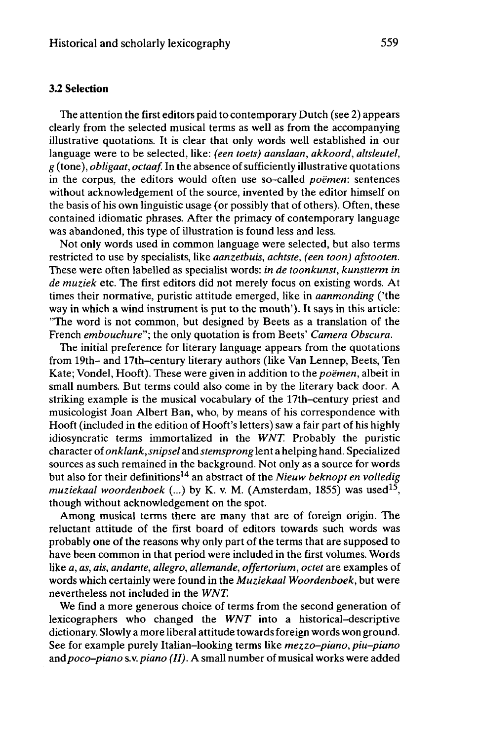# **3.2 Selection**

The attention the first editors paid to contemporary Dutch (see 2) appears clearly from the selected musical terms as well as from the accompanying illustrative quotations. It is clear that only words well established in our language were to be selected, like: *(een toets) aanslaan, akkoord, altsleutel, g* (tone), *obligaat, octaaf.* In the absence ofsufficiently illustrative quotations in the corpus, the editors would often use so-called *poëmen:* sentences without acknowledgement of the source, invented by the editor himself on the basis of his own linguistic usage (or possibly that of others). Often, these contained idiomatic phrases. After the primacy of contemporary language was abandoned, this type of illustration is found less and less.

Not only words used in common language were selected, but also terms restricted to use by specialists, like *aanzetbuis, achtste, (een toon) afstooten.* These were often labelled as specialist words: *in de toonkunst, kunstterm in de muziek* etc. The first editors did not merely focus on existing words. At times their normative, puristic attitude emerged, like in *aanmonding* ('the way in which a wind instrument is put to the mouth'). It says in this article: "The word is not common, but designed by Beets as a translation of the French *embouchure";* the only quotation is from Beets' *Camera Obscura.*

The initial preference for literary language appears from the quotations from 19th- and 17th-century literary authors (like Van Lennep, Beets, Ten Kate; Vondel, Hooft). These were given in addition to the *poëmen,* albeit in small numbers. But terms could also come in by the literary back door. A striking example is the musical vocabulary of the 17th-century priest and musicologist Joan Albert Ban, who, by means of his correspondence with Hooft (included in the edition of Hooft's letters) saw a fair part of his highly idiosyncratic terms immortalized in the *WNT.* Probably the puristic character of *onklank,snipsel* and *stemsprong* lent a helping hand. Specialized sources as such remained in the background. Not only as a source for words but also for their definitions<sup>14</sup> an abstract of the *Nieuw beknopt en volledig muziekaal woordenboek* (...) by K. v. M. (Amsterdam, 1855) was used<sup>15</sup> , though without acknowledgement on the spot.

Among musical terms there are many that are of foreign origin. The reluctant attitude of the first board of editors towards such words was probably one of the reasons why only part of the terms that are supposed to have been common in that period were included in the first volumes. Words like *a, as, ais, andante, allegro, allemande, offertorium, octet are* examples of words which certainly were found in the *Muziekaal Woordenboek,* but were nevertheless not included in the *WNT.*

We find a more generous choice of terms from the second generation of lexicographers who changed the *WNT* into a historical-descriptive dictionary. Slowly a more liberal attitude towardsforeign words won ground. See for example purely Italian-looking terms like *mezzo-piano, piu-piano* and poco-piano s.v. piano (II). A small number of musical works were added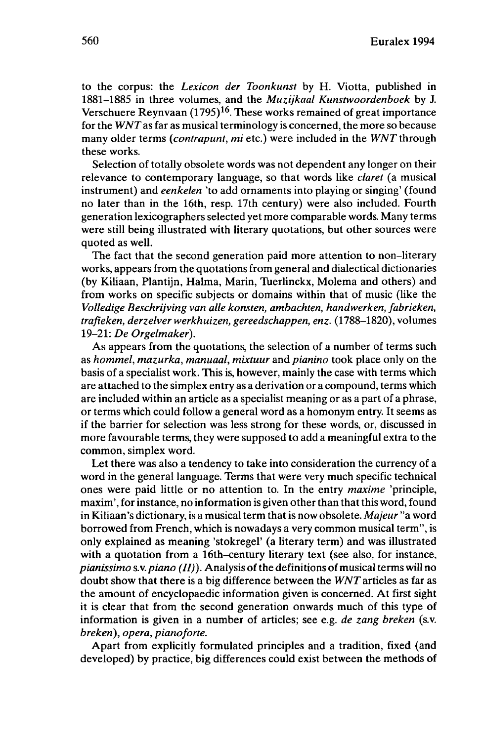to the corpus: the *Lexicon der Toonkunst* by H. Viotta, published in 1881-1885 in three volumes, and the *Muzijkaal Kunstwoordenboek* by J. Verschuere Reynvaan (1795)<sup>16</sup>. These works remained of great importance for the *WNTas* far as musical terminology is concerned, the more so because many older terms *(contrapunt, mi* etc.) were included in the *WNT*through these works.

Selection of totally obsolete words was not dependent any longer on their relevance to contemporary language, so that words like *claret* (a musical instrument) and *eenkelen* 'to add ornaments into playing or singing' (found no later than in the 16th, resp. 17th century) were also included. Fourth generation lexicographers selected yet more comparable words. Many terms were still being illustrated with literary quotations, but other sources were quoted as well.

The fact that the second generation paid more attention to non-literary works, appears from the quotations from general and dialectical dictionaries (by Kiliaan, Plantijn, Halma, Marin, Tuerlinckx, Molema and others) and from works on specific subjects or domains within that of music (like the *Volledige Beschrijving van alle konsten, ambachten, handwerken, fabrieken, trafieken, derzelver werkhuizen, gereedschappen, enz.* (1788-1820), volumes 19-21: *De Orgelmaker).*

As appears from the quotations, the selection of a number of terms such as *hommel, mazurka, manuaal, mixtuur* and *pianino* took place only on the basis of a specialist work. This is, however, mainly the case with terms which are attached to the simplex entry as a derivation or a compound, terms which are included within an article as a specialist meaning or as a part of a phrase, or terms which could follow a general word as a homonym entry. It seems as if the barrier for selection was less strong for these words, or, discussed in more favourable terms, they were supposed to add a meaningful extra to the common, simplex word.

Let there was also a tendency to take into consideration the currency of a word in the general language. Terms that were very much specific technical ones were paid little or no attention to. In the entry *maxime* 'principle, maxim', for instance, no information is given other than that this word, found in Kiliaan's dictionary, is a musical term that is now obsolete. *Majeur* "a word borrowed from French, which is nowadays a very common musical term", is only explained as meaning 'stokregel' (a literary term) and was illustrated with a quotation from a 16th-century literary text (see also, for instance, *pianissimo s.v. piano (II)*). Analysis of the definitions of musical terms will no doubt show that there is a big difference between the *WNT*articles as far as the amount of encyclopaedic information given is concerned. At first sight it is clear that from the second generation onwards much of this type of information is given in a number of articles; see e.g. *de zang breken* (s.v. *breken), opera, pianoforte.*

Apart from explicitly formulated principles and a tradition, fixed (and developed) by practice, big differences could exist between the methods of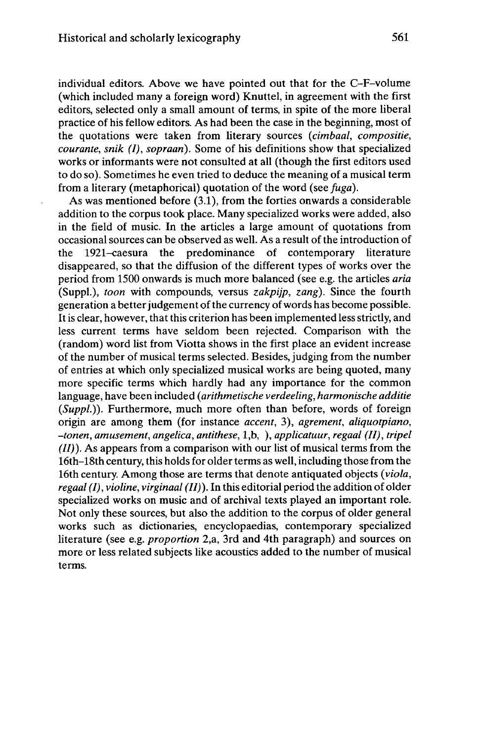individual editors. Above we have pointed out that for the C-F-volume (which included many a foreign word) Knüttel, in agreement with the first editors, selected only a small amount of terms, in spite of the more liberal practice of his fellow editors. As had been the case in the beginning, most of the quotations were taken from literary sources *(cimbaal, compositie, courante, snik (I), sopraari).* Some of his definitions show that specialized works or informants were not consulted at all (though the first editors used to do so). Sometimes he even tried to deduce the meaning of a musical term from a literary (metaphorical) quotation of the word (see *fuga).*

As was mentioned before (3.1), from the forties onwards a considerable addition to the corpus took place. Many specialized works were added, also in the field of music. In the articles a large amount of quotations from occasional sources can be observed as well. As a result ofthe introduction of the 1921-caesura the predominance of contemporary literature disappeared, so that the diffusion of the different types of works over the period from 1500 onwards is much more balanced (see e.g. the articles *aria* (Suppl.), *toon* with compounds, versus *zakpijp, zang).* Since the fourth generation a better judgement of the currency of words has become possible. It is clear, however, that this criterion has been implemented less strictly, and less current terms have seldom been rejected. Comparison with the (random) word list from Viotta shows in the first place an evident increase of the number of musical terms selected. Besides, judging from the number of entries at which only specialized musical works are being quoted, many more specific terms which hardly had any importance for the common language, have been included *{arithmetische verdeeling, harmonische additie (Suppl.)).* Furthermore, much more often than before, words of foreign origin are among them (for instance *accent,* 3), *agrément, aliquotpiano, -tonen, amusement, angelica, antithèse,* l,b, ), *applicatuur, regaal (II), tripel (II)).* As appears from a comparison with our list of musical terms from the 16th–18th century, this holds for older terms as well, including those from the 16th century. Among those are terms that denote antiquated objects *(viola, regaal (I), violine, virginaal (II)).* In this editorial period the addition of older specialized works on music and of archival texts played an important role. Not only these sources, but also the addition to the corpus of older general works such as dictionaries, encyclopaedias, contemporary specialized literature (see e.g. *proportion* 2,a, 3rd and 4th paragraph) and sources on more or less related subjects like acoustics added to the number of musical terms.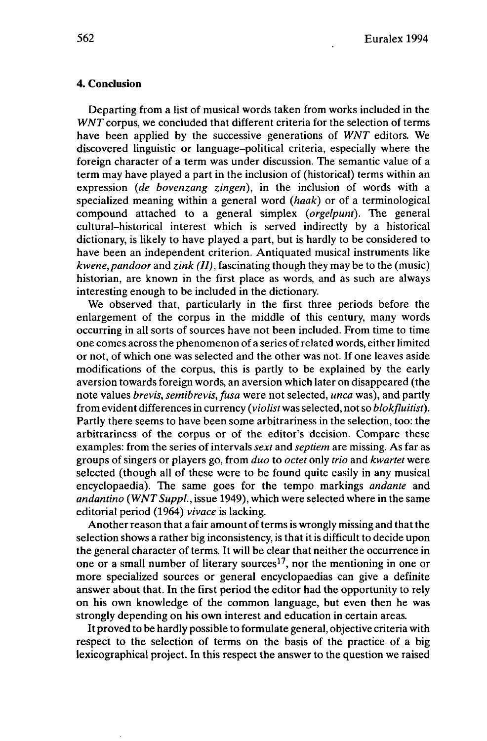# **4. Conclusion**

Departing from a list of musical words taken from works included in the *WNT* corpus, we concluded that different criteria for the selection of terms have been applied by the successive generations of *WNT* editors. We discovered linguistic or language-political criteria, especially where the foreign character of a term was under discussion. The semantic value of a term may have played a part in the inclusion of (historical) terms within an expression *(de bovenzang zingen),* in the inclusion of words with a specialized meaning within a general word *(haak)* or of a terminological compound attached to a general simplex *(orgelpunt).* The general cultural-historical interest which is served indirectly by a historical dictionary, is likely to have played a part, but is hardly to be considered to have been an independent criterion. Antiquated musical instruments like *kwene,pandoor* and *zink (II),* fascinating though they may be to the (music) historian, are known in the first place as words, and as such are always interesting enough to be included in the dictionary.

We observed that, particularly in the first three periods before the enlargement of the corpus in the middle of this century, many words occurring in all sorts of sources have not been included. From time to time one comes across the phenomenon of a series ofrelated words, either limited or not, of which one was selected and the other was not. If one leaves aside modifications of the corpus, this is partly to be explained by the early aversion towards foreign words, an aversion which later on disappeared (the note values *brevis, semibrevis, fusa* were not selected, *unca* was), and partly from evident differencesin currency *(violist* was selected, not so *blokfluitist).* Partly there seems to have been some arbitrariness in the selection, too: the arbitrariness of the corpus or of the editor's decision. Compare these examples: from the series of intervals *sext* and *septiem* are missing. As far as groups of singers or players go, from *duo* to *octet* only *trio* and *kwartet* were selected (though all of these were to be found quite easily in any musical encyclopaedia). The same goes for the tempo markings *andante* and *andantino (WNTSuppl.,* issue 1949), which were selected where in the same editorial period (1964) *vivace* is lacking.

Another reason that a fair amount of terms is wrongly missing and that the selection shows a rather big inconsistency, is that it is difficult to decide upon the general character of terms. It will be clear that neither the occurrence in one or a small number of literary sources<sup>17</sup>, nor the mentioning in one or more specialized sources or general encyclopaedias can give a definite answer about that. In the first period the editor had the opportunity to rely on his own knowledge of the common language, but even then he was strongly depending on his own interest and education in certain areas.

It proved to be hardly possible to formulate general, objective criteria with respect to the selection of terms on the basis of the practice of a big lexicographical project. In this respect the answer to the question we raised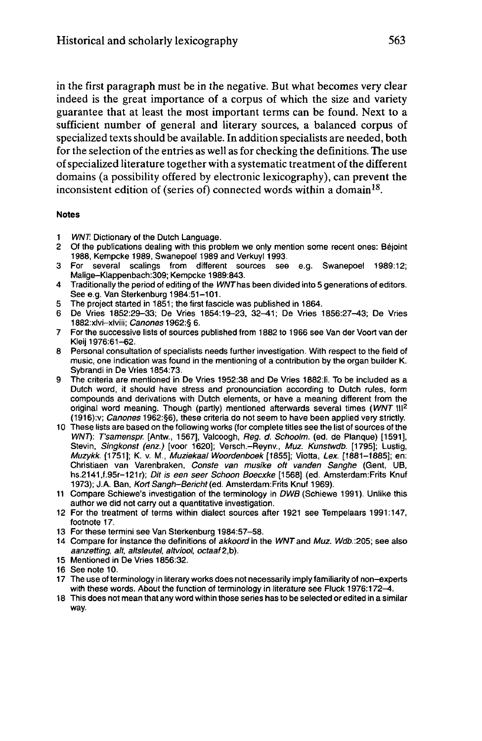in the first paragraph must be in the negative. But what becomes very clear indeed is the great importance of a corpus of which the size and variety guarantee that at least the most important terms can be found. Next to a sufficient number of general and literary sources, a balanced corpus of specialized texts should be available. In addition specialists are needed, both for the selection of the entries as well as for checking the definitions. The use ofspecialized literature together with a systematic treatment ofthe different domains (a possibility offered by electronic lexicography), can prevent the inconsistent edition of (series of) connected words within a domain<sup>18</sup>.

#### **Notes**

- 
- 1 WNT. Dictionary of the Dutch Language.<br>2 Of the publications dealing with this pro 2 Of the publications dealing with this problem we only mention some recent ones: Béjoint 1988, Kempcke 1989, Swanepoel 1989 and Verkuyl 1993.
- 3 For several scalings from different sources see e.g. Swanepoel 1989:12; Malige-Klappenbach:309; Kempcke 1989:843.
- Traditionally the period of editing of the WNT has been divided into 5 generations of editors. See e.g. Van Sterkenburg 1984:51-101.
- 5 The project started in 1851 ; the first fascicle was published in 1864.
- 6 De Vries 1852:29-33; De Vries 1854:19-23, 32^1; De Vries 1856:27-43; De Vries 1882:xlvi-xlviii; Canones 1962:§ 6.
- 7 For the successive lists of sources published from 1882 to 1966 see Van der Voort van der Kleij 1976:61-62.
- 8 Personal consultation of specialists needs further investigation. With respect to the field of music, one indication was found in the mentioning of a contribution by the organ builder K. Sybrandi in De Vries 1854:73.
- 9 The criteria are mentioned in De Vries 1952:38 and De Vries 1882:li. To be included as a Dutch word, it should have stress and pronounciation according to Dutch rules, form compounds and derivations with Dutch elements, or have a meaning different from the original word meaning. Though (partly) mentioned afterwards several times (WNT III<sup>2</sup> (1916):v; Canones 1962:§6), these criteria do not seem to have been applied very strictly.
- 10 These lists are based on the following works (for complete titles see the list of sources of the WNT): T'samenspr. [Antw., 1567], Valcoogh, Reg. d. Schoolm. (éd. de Planque) [1591], Stevin, Singkonst (enz.) [voor 1620]; Versch.-Reynv., Muz. Kunstwdb. [1795]; Lustig, Muzykk. [1751]; K. v. M., Muziekaal Woordenboek [1855]; Viotta, Lex. [1881-1885]; en: Christiaen van Varenbraken, Conste van musike oft vanden Sanghe (Gent, UB, hs.2141,f.95r-121r); Dit is een seer Schoon Boecxke [1568] (ed. Amsterdam:Frits Knuf 1973); J.A. Ban, Kort Sangh-Bericht (ed. Amsterdam:Frits Knuf 1969).
- <sup>11</sup> Compare Schiewe's investigation of the terminology in DWB (Schiewe 1991). Unlike this author we did not carry out a quantitative investigation.
- 12 For the treatment of terms within dialect sources after 1921 see Tempelaars 1991:147, footnote 17.
- 13 For these termini see Van Sterkenburg 1984:57-58.
- 14 Compare for instance the definitions of akkoord in the WNT and Muz. Wdb.:205; see also aanzetting, alt, altsleutel, altviool, octaaf2,b).
- 15 Mentioned in De Vries 1856:32.
- 16 See note 10.
- 17 The use of terminology in literary works does not necessarily imply familiarity of non-experts with these words. About the function of terminology in literature see Fluck 1976:172-4.
- 18 This does not mean that any word within those series has to be selected or edited in a similar way.